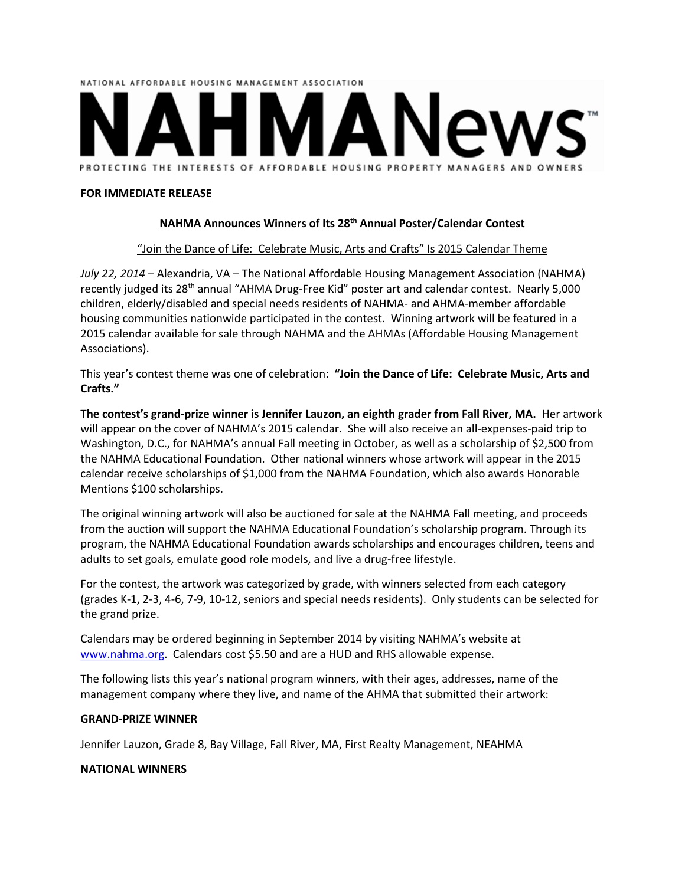

### **FOR IMMEDIATE RELEASE**

## **NAHMA Announces Winners of Its 28th Annual Poster/Calendar Contest**

## "Join the Dance of Life: Celebrate Music, Arts and Crafts" Is 2015 Calendar Theme

*July 22, 2014* – Alexandria, VA – The National Affordable Housing Management Association (NAHMA) recently judged its 28<sup>th</sup> annual "AHMA Drug-Free Kid" poster art and calendar contest. Nearly 5,000 children, elderly/disabled and special needs residents of NAHMA- and AHMA-member affordable housing communities nationwide participated in the contest. Winning artwork will be featured in a 2015 calendar available for sale through NAHMA and the AHMAs (Affordable Housing Management Associations).

This year's contest theme was one of celebration: **"Join the Dance of Life: Celebrate Music, Arts and Crafts."** 

**The contest's grand-prize winner is Jennifer Lauzon, an eighth grader from Fall River, MA.** Her artwork will appear on the cover of NAHMA's 2015 calendar. She will also receive an all-expenses-paid trip to Washington, D.C., for NAHMA's annual Fall meeting in October, as well as a scholarship of \$2,500 from the NAHMA Educational Foundation. Other national winners whose artwork will appear in the 2015 calendar receive scholarships of \$1,000 from the NAHMA Foundation, which also awards Honorable Mentions \$100 scholarships.

The original winning artwork will also be auctioned for sale at the NAHMA Fall meeting, and proceeds from the auction will support the NAHMA Educational Foundation's scholarship program. Through its program, the NAHMA Educational Foundation awards scholarships and encourages children, teens and adults to set goals, emulate good role models, and live a drug-free lifestyle.

For the contest, the artwork was categorized by grade, with winners selected from each category (grades K-1, 2-3, 4-6, 7-9, 10-12, seniors and special needs residents). Only students can be selected for the grand prize.

Calendars may be ordered beginning in September 2014 by visiting NAHMA's website at [www.nahma.org.](http://www.nahma.org/) Calendars cost \$5.50 and are a HUD and RHS allowable expense.

The following lists this year's national program winners, with their ages, addresses, name of the management company where they live, and name of the AHMA that submitted their artwork:

### **GRAND-PRIZE WINNER**

Jennifer Lauzon, Grade 8, Bay Village, Fall River, MA, First Realty Management, NEAHMA

### **NATIONAL WINNERS**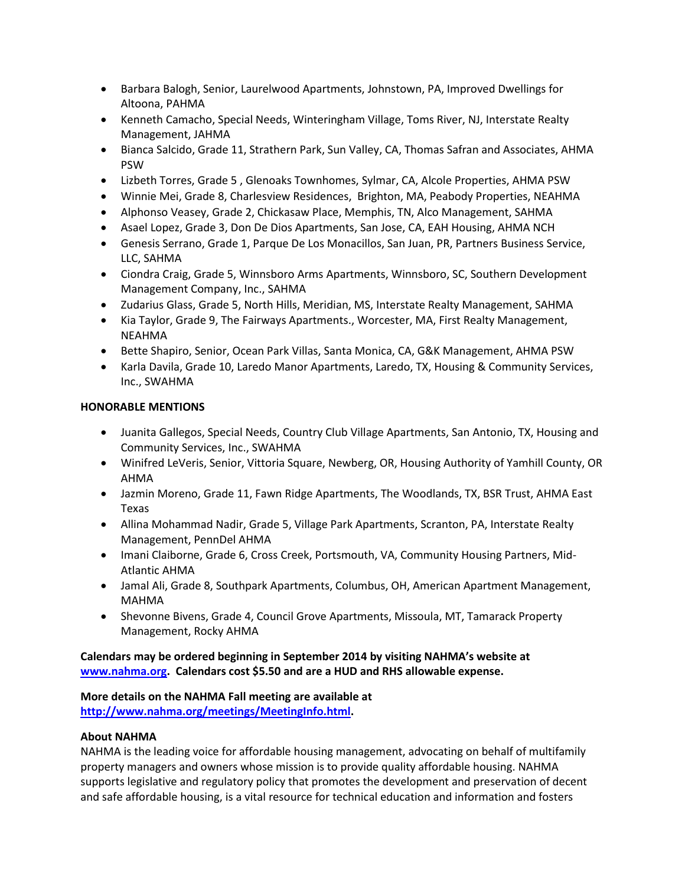- Barbara Balogh, Senior, Laurelwood Apartments, Johnstown, PA, Improved Dwellings for Altoona, PAHMA
- Kenneth Camacho, Special Needs, Winteringham Village, Toms River, NJ, Interstate Realty Management, JAHMA
- Bianca Salcido, Grade 11, Strathern Park, Sun Valley, CA, Thomas Safran and Associates, AHMA PSW
- Lizbeth Torres, Grade 5 , Glenoaks Townhomes, Sylmar, CA, Alcole Properties, AHMA PSW
- Winnie Mei, Grade 8, Charlesview Residences, Brighton, MA, Peabody Properties, NEAHMA
- Alphonso Veasey, Grade 2, Chickasaw Place, Memphis, TN, Alco Management, SAHMA
- Asael Lopez, Grade 3, Don De Dios Apartments, San Jose, CA, EAH Housing, AHMA NCH
- Genesis Serrano, Grade 1, Parque De Los Monacillos, San Juan, PR, Partners Business Service, LLC, SAHMA
- Ciondra Craig, Grade 5, Winnsboro Arms Apartments, Winnsboro, SC, Southern Development Management Company, Inc., SAHMA
- Zudarius Glass, Grade 5, North Hills, Meridian, MS, Interstate Realty Management, SAHMA
- Kia Taylor, Grade 9, The Fairways Apartments., Worcester, MA, First Realty Management, NEAHMA
- Bette Shapiro, Senior, Ocean Park Villas, Santa Monica, CA, G&K Management, AHMA PSW
- Karla Davila, Grade 10, Laredo Manor Apartments, Laredo, TX, Housing & Community Services, Inc., SWAHMA

# **HONORABLE MENTIONS**

- Juanita Gallegos, Special Needs, Country Club Village Apartments, San Antonio, TX, Housing and Community Services, Inc., SWAHMA
- Winifred LeVeris, Senior, Vittoria Square, Newberg, OR, Housing Authority of Yamhill County, OR AHMA
- Jazmin Moreno, Grade 11, Fawn Ridge Apartments, The Woodlands, TX, BSR Trust, AHMA East Texas
- Allina Mohammad Nadir, Grade 5, Village Park Apartments, Scranton, PA, Interstate Realty Management, PennDel AHMA
- Imani Claiborne, Grade 6, Cross Creek, Portsmouth, VA, Community Housing Partners, Mid-Atlantic AHMA
- Jamal Ali, Grade 8, Southpark Apartments, Columbus, OH, American Apartment Management, MAHMA
- Shevonne Bivens, Grade 4, Council Grove Apartments, Missoula, MT, Tamarack Property Management, Rocky AHMA

# **Calendars may be ordered beginning in September 2014 by visiting NAHMA's website at [www.nahma.org.](http://www.nahma.org/) Calendars cost \$5.50 and are a HUD and RHS allowable expense.**

# **More details on the NAHMA Fall meeting are available at**

**[http://www.nahma.org/meetings/MeetingInfo.html.](http://www.nahma.org/meetings/MeetingInfo.html)** 

# **About NAHMA**

NAHMA is the leading voice for affordable housing management, advocating on behalf of multifamily property managers and owners whose mission is to provide quality affordable housing. NAHMA supports legislative and regulatory policy that promotes the development and preservation of decent and safe affordable housing, is a vital resource for technical education and information and fosters